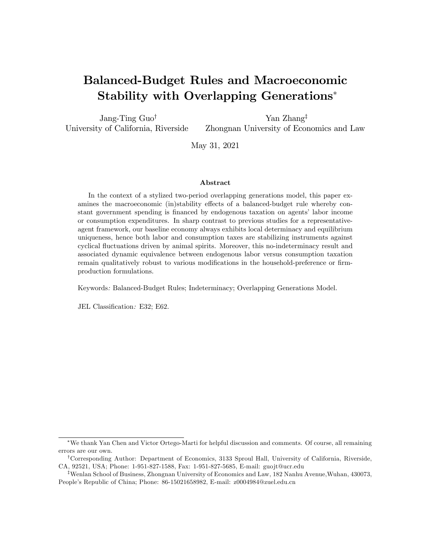# Balanced-Budget Rules and Macroeconomic Stability with Overlapping Generations<sup>\*</sup>

Jang-Ting  $Guot$ University of California, Riverside Yan Zhang<sup> $†$ </sup> Zhongnan University of Economics and Law

May 31, 2021

#### Abstract

In the context of a stylized two-period overlapping generations model, this paper examines the macroeconomic (in)stability effects of a balanced-budget rule whereby constant government spending is financed by endogenous taxation on agents' labor income or consumption expenditures. In sharp contrast to previous studies for a representativeagent framework, our baseline economy always exhibits local determinacy and equilibrium uniqueness, hence both labor and consumption taxes are stabilizing instruments against cyclical áuctuations driven by animal spirits. Moreover, this no-indeterminacy result and associated dynamic equivalence between endogenous labor versus consumption taxation remain qualitatively robust to various modifications in the household-preference or firmproduction formulations.

Keywords: Balanced-Budget Rules; Indeterminacy; Overlapping Generations Model.

JEL Classification: E32; E62.

We thank Yan Chen and Victor Ortego-Marti for helpful discussion and comments. Of course, all remaining errors are our own.

<sup>&</sup>lt;sup>†</sup>Corresponding Author: Department of Economics, 3133 Sproul Hall, University of California, Riverside, CA, 92521, USA; Phone: 1-951-827-1588, Fax: 1-951-827-5685, E-mail: guojt@ucr.edu

<sup>&</sup>lt;sup>‡</sup>Wenlan School of Business, Zhongnan University of Economics and Law, 182 Nanhu Avenue, Wuhan, 430073, Peopleís Republic of China; Phone: 86-15021658982, E-mail: z0004984@zuel.edu.cn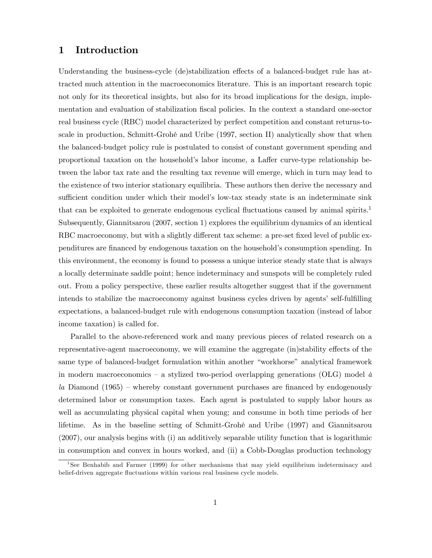# 1 Introduction

Understanding the business-cycle (de)stabilization effects of a balanced-budget rule has attracted much attention in the macroeconomics literature. This is an important research topic not only for its theoretical insights, but also for its broad implications for the design, implementation and evaluation of stabilization fiscal policies. In the context a standard one-sector real business cycle (RBC) model characterized by perfect competition and constant returns-toscale in production, Schmitt-Grohé and Uribe (1997, section II) analytically show that when the balanced-budget policy rule is postulated to consist of constant government spending and proportional taxation on the household's labor income, a Laffer curve-type relationship between the labor tax rate and the resulting tax revenue will emerge, which in turn may lead to the existence of two interior stationary equilibria. These authors then derive the necessary and sufficient condition under which their model's low-tax steady state is an indeterminate sink that can be exploited to generate endogenous cyclical fluctuations caused by animal spirits.<sup>1</sup> Subsequently, Giannitsarou (2007, section 1) explores the equilibrium dynamics of an identical RBC macroeconomy, but with a slightly different tax scheme: a pre-set fixed level of public expenditures are financed by endogenous taxation on the household's consumption spending. In this environment, the economy is found to possess a unique interior steady state that is always a locally determinate saddle point; hence indeterminacy and sunspots will be completely ruled out. From a policy perspective, these earlier results altogether suggest that if the government intends to stabilize the macroeconomy against business cycles driven by agents' self-fulfilling expectations, a balanced-budget rule with endogenous consumption taxation (instead of labor income taxation) is called for.

Parallel to the above-referenced work and many previous pieces of related research on a representative-agent macroeconomy, we will examine the aggregate (in)stability effects of the same type of balanced-budget formulation within another "workhorse" analytical framework in modern macroeconomics – a stylized two-period overlapping generations (OLG) model  $\dot{a}$  $la$  Diamond (1965) – whereby constant government purchases are financed by endogenously determined labor or consumption taxes. Each agent is postulated to supply labor hours as well as accumulating physical capital when young; and consume in both time periods of her lifetime. As in the baseline setting of Schmitt-GrohÈ and Uribe (1997) and Giannitsarou (2007), our analysis begins with (i) an additively separable utility function that is logarithmic in consumption and convex in hours worked, and (ii) a Cobb-Douglas production technology

<sup>&</sup>lt;sup>1</sup>See Benhabib and Farmer (1999) for other mechanisms that may yield equilibrium indeterminacy and belief-driven aggregate fluctuations within various real business cycle models.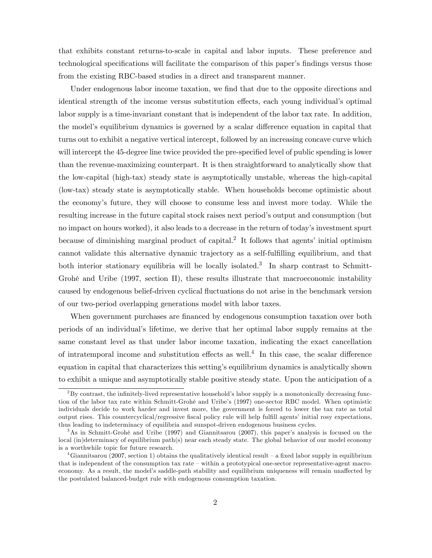that exhibits constant returns-to-scale in capital and labor inputs. These preference and technological specifications will facilitate the comparison of this paper's findings versus those from the existing RBC-based studies in a direct and transparent manner.

Under endogenous labor income taxation, we find that due to the opposite directions and identical strength of the income versus substitution effects, each young individual's optimal labor supply is a time-invariant constant that is independent of the labor tax rate. In addition, the model's equilibrium dynamics is governed by a scalar difference equation in capital that turns out to exhibit a negative vertical intercept, followed by an increasing concave curve which will intercept the 45-degree line twice provided the pre-specified level of public spending is lower than the revenue-maximizing counterpart. It is then straightforward to analytically show that the low-capital (high-tax) steady state is asymptotically unstable, whereas the high-capital (low-tax) steady state is asymptotically stable. When households become optimistic about the economyís future, they will choose to consume less and invest more today. While the resulting increase in the future capital stock raises next period's output and consumption (but no impact on hours worked), it also leads to a decrease in the return of today's investment spurt because of diminishing marginal product of capital.<sup>2</sup> It follows that agents' initial optimism cannot validate this alternative dynamic trajectory as a self-fulfilling equilibrium, and that both interior stationary equilibria will be locally isolated.<sup>3</sup> In sharp contrast to Schmitt-Grohé and Uribe (1997, section II), these results illustrate that macroeconomic instability caused by endogenous belief-driven cyclical áuctuations do not arise in the benchmark version of our two-period overlapping generations model with labor taxes.

When government purchases are financed by endogenous consumption taxation over both periods of an individualís lifetime, we derive that her optimal labor supply remains at the same constant level as that under labor income taxation, indicating the exact cancellation of intratemporal income and substitution effects as well.<sup>4</sup> In this case, the scalar difference equation in capital that characterizes this settingís equilibrium dynamics is analytically shown to exhibit a unique and asymptotically stable positive steady state. Upon the anticipation of a

 $2By$  contrast, the infinitely-lived representative household's labor supply is a monotonically decreasing function of the labor tax rate within Schmitt-Grohé and Uribe's (1997) one-sector RBC model. When optimistic individuals decide to work harder and invest more, the government is forced to lower the tax rate as total output rises. This countercyclical/regressive fiscal policy rule will help fulfill agents' initial rosy expectations, thus leading to indeterminacy of equilibria and sunspot-driven endogenous business cycles.

 $3\text{As}$  in Schmitt-Grohé and Uribe (1997) and Giannitsarou (2007), this paper's analysis is focused on the local (in)determinacy of equilibrium path(s) near each steady state. The global behavior of our model economy is a worthwhile topic for future research.

<sup>&</sup>lt;sup>4</sup>Giannitsarou (2007, section 1) obtains the qualitatively identical result – a fixed labor supply in equilibrium that is independent of the consumption tax rate  $-\text{within a prototypical one-section representative-agent macro-}$ economy. As a result, the model's saddle-path stability and equilibrium uniqueness will remain unaffected by the postulated balanced-budget rule with endogenous consumption taxation.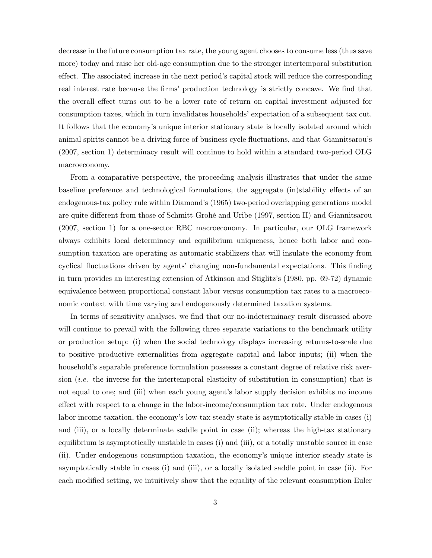decrease in the future consumption tax rate, the young agent chooses to consume less (thus save more) today and raise her old-age consumption due to the stronger intertemporal substitution effect. The associated increase in the next period's capital stock will reduce the corresponding real interest rate because the firms' production technology is strictly concave. We find that the overall effect turns out to be a lower rate of return on capital investment adjusted for consumption taxes, which in turn invalidates households' expectation of a subsequent tax cut. It follows that the economy's unique interior stationary state is locally isolated around which animal spirits cannot be a driving force of business cycle fluctuations, and that Giannitsarou's (2007, section 1) determinacy result will continue to hold within a standard two-period OLG macroeconomy.

From a comparative perspective, the proceeding analysis illustrates that under the same baseline preference and technological formulations, the aggregate (in)stability effects of an endogenous-tax policy rule within Diamond's (1965) two-period overlapping generations model are quite different from those of Schmitt-Grohé and Uribe (1997, section II) and Giannitsarou (2007, section 1) for a one-sector RBC macroeconomy. In particular, our OLG framework always exhibits local determinacy and equilibrium uniqueness, hence both labor and consumption taxation are operating as automatic stabilizers that will insulate the economy from cyclical fluctuations driven by agents' changing non-fundamental expectations. This finding in turn provides an interesting extension of Atkinson and Stiglitzís (1980, pp. 69-72) dynamic equivalence between proportional constant labor versus consumption tax rates to a macroeconomic context with time varying and endogenously determined taxation systems.

In terms of sensitivity analyses, we find that our no-indeterminacy result discussed above will continue to prevail with the following three separate variations to the benchmark utility or production setup: (i) when the social technology displays increasing returns-to-scale due to positive productive externalities from aggregate capital and labor inputs; (ii) when the household's separable preference formulation possesses a constant degree of relative risk aversion *(i.e.* the inverse for the intertemporal elasticity of substitution in consumption) that is not equal to one; and (iii) when each young agent's labor supply decision exhibits no income effect with respect to a change in the labor-income/consumption tax rate. Under endogenous labor income taxation, the economy's low-tax steady state is asymptotically stable in cases (i) and (iii), or a locally determinate saddle point in case (ii); whereas the high-tax stationary equilibrium is asymptotically unstable in cases (i) and (iii), or a totally unstable source in case (ii). Under endogenous consumption taxation, the economyís unique interior steady state is asymptotically stable in cases (i) and (iii), or a locally isolated saddle point in case (ii). For each modified setting, we intuitively show that the equality of the relevant consumption Euler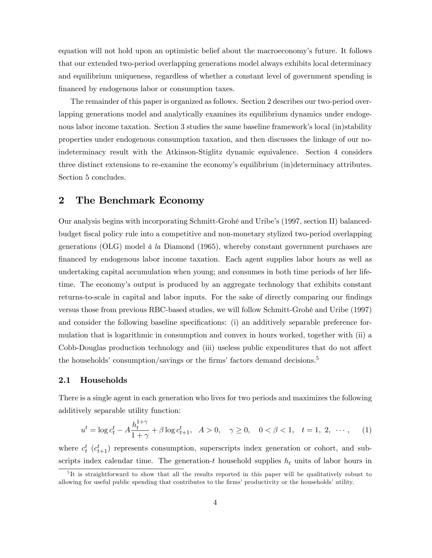equation will not hold upon an optimistic belief about the macroeconomyís future. It follows that our extended two-period overlapping generations model always exhibits local determinacy and equilibrium uniqueness, regardless of whether a constant level of government spending is financed by endogenous labor or consumption taxes.

The remainder of this paper is organized as follows. Section 2 describes our two-period overlapping generations model and analytically examines its equilibrium dynamics under endogenous labor income taxation. Section 3 studies the same baseline framework's local (in)stability properties under endogenous consumption taxation, and then discusses the linkage of our noindeterminacy result with the Atkinson-Stiglitz dynamic equivalence. Section 4 considers three distinct extensions to re-examine the economy's equilibrium (in)determinacy attributes. Section 5 concludes.

# 2 The Benchmark Economy

Our analysis begins with incorporating Schmitt-Grohé and Uribe's (1997, section II) balancedbudget Öscal policy rule into a competitive and non-monetary stylized two-period overlapping generations (OLG) model  $\dot{a}$  la Diamond (1965), whereby constant government purchases are Önanced by endogenous labor income taxation. Each agent supplies labor hours as well as undertaking capital accumulation when young; and consumes in both time periods of her lifetime. The economyís output is produced by an aggregate technology that exhibits constant returns-to-scale in capital and labor inputs. For the sake of directly comparing our findings versus those from previous RBC-based studies, we will follow Schmitt-GrohÈ and Uribe (1997) and consider the following baseline specifications: (i) an additively separable preference formulation that is logarithmic in consumption and convex in hours worked, together with (ii) a Cobb-Douglas production technology and (iii) useless public expenditures that do not affect the households' consumption/savings or the firms' factors demand decisions.<sup>5</sup>

#### 2.1 Households

There is a single agent in each generation who lives for two periods and maximizes the following additively separable utility function:

$$
u^{t} = \log c_{t}^{t} - A \frac{h_{t}^{1+\gamma}}{1+\gamma} + \beta \log c_{t+1}^{t}, \quad A > 0, \quad \gamma \ge 0, \quad 0 < \beta < 1, \quad t = 1, 2, \quad \cdots, \tag{1}
$$

where  $c_t^t$  ( $c_{t+1}^t$ ) represents consumption, superscripts index generation or cohort, and subscripts index calendar time. The generation-t household supplies  $h_t$  units of labor hours in

<sup>&</sup>lt;sup>5</sup>It is straightforward to show that all the results reported in this paper will be qualitatively robust to allowing for useful public spending that contributes to the firms' productivity or the households' utility.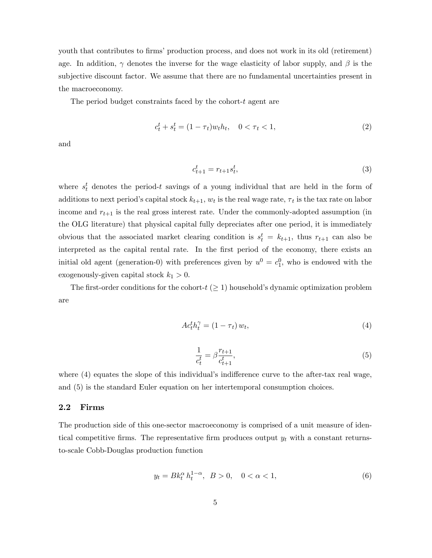youth that contributes to firms' production process, and does not work in its old (retirement) age. In addition,  $\gamma$  denotes the inverse for the wage elasticity of labor supply, and  $\beta$  is the subjective discount factor. We assume that there are no fundamental uncertainties present in the macroeconomy.

The period budget constraints faced by the cohort-t agent are

$$
c_t^t + s_t^t = (1 - \tau_t)w_t h_t, \quad 0 < \tau_t < 1,\tag{2}
$$

and

$$
c_{t+1}^t = r_{t+1} s_t^t,\t\t(3)
$$

where  $s_t^t$  denotes the period-t savings of a young individual that are held in the form of additions to next period's capital stock  $k_{t+1}$ ,  $w_t$  is the real wage rate,  $\tau_t$  is the tax rate on labor income and  $r_{t+1}$  is the real gross interest rate. Under the commonly-adopted assumption (in the OLG literature) that physical capital fully depreciates after one period, it is immediately obvious that the associated market clearing condition is  $s_t^t = k_{t+1}$ , thus  $r_{t+1}$  can also be interpreted as the capital rental rate. In the first period of the economy, there exists an initial old agent (generation-0) with preferences given by  $u^0 = c_1^0$ , who is endowed with the exogenously-given capital stock  $k_1 > 0$ .

The first-order conditions for the cohort- $t \geq 1$  household's dynamic optimization problem are

$$
Ac_t^t h_t^{\gamma} = (1 - \tau_t) w_t,
$$
\n<sup>(4)</sup>

$$
\frac{1}{c_t^t} = \beta \frac{r_{t+1}}{c_{t+1}^t},\tag{5}
$$

where  $(4)$  equates the slope of this individual's indifference curve to the after-tax real wage, and (5) is the standard Euler equation on her intertemporal consumption choices.

### 2.2 Firms

The production side of this one-sector macroeconomy is comprised of a unit measure of identical competitive firms. The representative firm produces output  $y_t$  with a constant returnsto-scale Cobb-Douglas production function

$$
y_t = B k_t^{\alpha} h_t^{1-\alpha}, \ \ B > 0, \quad 0 < \alpha < 1,\tag{6}
$$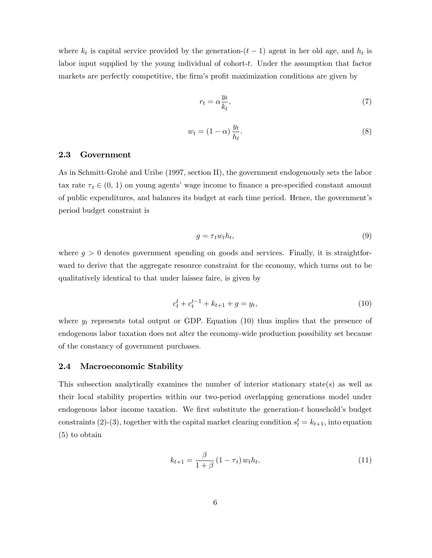where  $k_t$  is capital service provided by the generation- $(t-1)$  agent in her old age, and  $h_t$  is labor input supplied by the young individual of cohort-t. Under the assumption that factor markets are perfectly competitive, the firm's profit maximization conditions are given by

$$
r_t = \alpha \frac{y_t}{k_t},\tag{7}
$$

$$
w_t = (1 - \alpha) \frac{y_t}{h_t}.\tag{8}
$$

### 2.3 Government

As in Schmitt-Grohé and Uribe (1997, section II), the government endogenously sets the labor tax rate  $\tau_t \in (0, 1)$  on young agents' wage income to finance a pre-specified constant amount of public expenditures, and balances its budget at each time period. Hence, the government's period budget constraint is

$$
g = \tau_t w_t h_t,\tag{9}
$$

where  $g > 0$  denotes government spending on goods and services. Finally, it is straightforward to derive that the aggregate resource constraint for the economy, which turns out to be qualitatively identical to that under laissez faire, is given by

$$
c_t^t + c_t^{t-1} + k_{t+1} + g = y_t,\t\t(10)
$$

where  $y_t$  represents total output or GDP. Equation (10) thus implies that the presence of endogenous labor taxation does not alter the economy-wide production possibility set because of the constancy of government purchases.

#### 2.4 Macroeconomic Stability

This subsection analytically examines the number of interior stationary state(s) as well as their local stability properties within our two-period overlapping generations model under endogenous labor income taxation. We first substitute the generation- $t$  household's budget constraints (2)-(3), together with the capital market clearing condition  $s_t^t = k_{t+1}$ , into equation (5) to obtain

$$
k_{t+1} = \frac{\beta}{1+\beta} \left(1 - \tau_t\right) w_t h_t.
$$
\n
$$
(11)
$$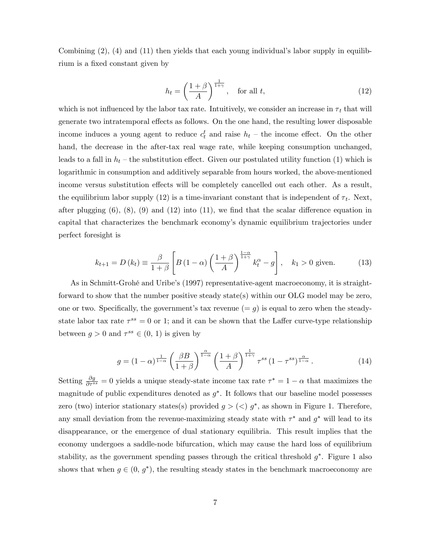Combining  $(2)$ ,  $(4)$  and  $(11)$  then yields that each young individual's labor supply in equilibrium is a fixed constant given by

$$
h_t = \left(\frac{1+\beta}{A}\right)^{\frac{1}{1+\gamma}}, \quad \text{for all } t,
$$
\n(12)

which is not influenced by the labor tax rate. Intuitively, we consider an increase in  $\tau_t$  that will generate two intratemporal effects as follows. On the one hand, the resulting lower disposable income induces a young agent to reduce  $c_t^t$  and raise  $h_t$  – the income effect. On the other hand, the decrease in the after-tax real wage rate, while keeping consumption unchanged, leads to a fall in  $h_t$  – the substitution effect. Given our postulated utility function (1) which is logarithmic in consumption and additively separable from hours worked, the above-mentioned income versus substitution effects will be completely cancelled out each other. As a result, the equilibrium labor supply (12) is a time-invariant constant that is independent of  $\tau_t$ . Next, after plugging  $(6)$ ,  $(8)$ ,  $(9)$  and  $(12)$  into  $(11)$ , we find that the scalar difference equation in capital that characterizes the benchmark economyís dynamic equilibrium trajectories under perfect foresight is

$$
k_{t+1} = D(k_t) \equiv \frac{\beta}{1+\beta} \left[ B(1-\alpha) \left( \frac{1+\beta}{A} \right)^{\frac{1-\alpha}{1+\gamma}} k_t^{\alpha} - g \right], \quad k_1 > 0 \text{ given.}
$$
 (13)

As in Schmitt-Grohé and Uribe's (1997) representative-agent macroeconomy, it is straightforward to show that the number positive steady state(s) within our OLG model may be zero, one or two. Specifically, the government's tax revenue  $(= g)$  is equal to zero when the steadystate labor tax rate  $\tau^{ss} = 0$  or 1; and it can be shown that the Laffer curve-type relationship between  $g > 0$  and  $\tau^{ss} \in (0, 1)$  is given by

$$
g = (1 - \alpha)^{\frac{1}{1 - \alpha}} \left(\frac{\beta B}{1 + \beta}\right)^{\frac{\alpha}{1 - \alpha}} \left(\frac{1 + \beta}{A}\right)^{\frac{1}{1 + \gamma}} \tau^{ss} (1 - \tau^{ss})^{\frac{\alpha}{1 - \alpha}}.
$$
 (14)

Setting  $\frac{\partial g}{\partial \tau^{ss}} = 0$  yields a unique steady-state income tax rate  $\tau^* = 1 - \alpha$  that maximizes the magnitude of public expenditures denoted as  $g^*$ . It follows that our baseline model possesses zero (two) interior stationary states(s) provided  $g > (<) g^*$ , as shown in Figure 1. Therefore, any small deviation from the revenue-maximizing steady state with  $\tau^*$  and  $g^*$  will lead to its disappearance, or the emergence of dual stationary equilibria. This result implies that the economy undergoes a saddle-node bifurcation, which may cause the hard loss of equilibrium stability, as the government spending passes through the critical threshold  $g^*$ . Figure 1 also shows that when  $g \in (0, g^*)$ , the resulting steady states in the benchmark macroeconomy are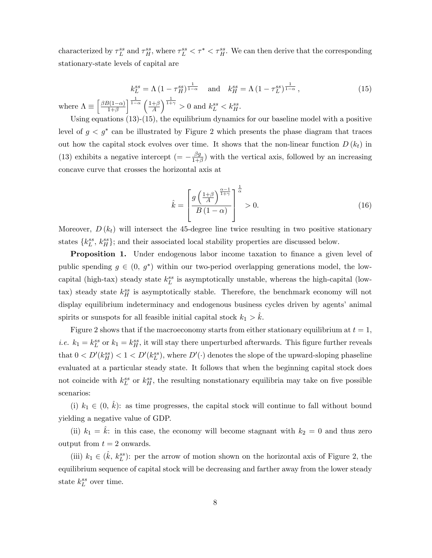characterized by  $\tau_L^{ss}$  and  $\tau_H^{ss}$ , where  $\tau_L^{ss} < \tau^* < \tau_H^{ss}$ . We can then derive that the corresponding stationary-state levels of capital are

$$
k_L^{ss} = \Lambda \left(1 - \tau_H^{ss}\right)^{\frac{1}{1-\alpha}} \quad \text{and} \quad k_H^{ss} = \Lambda \left(1 - \tau_L^{ss}\right)^{\frac{1}{1-\alpha}},
$$
  
re 
$$
\Lambda \equiv \left[\frac{\beta B(1-\alpha)}{1+\beta}\right]^{\frac{1}{1-\alpha}} \left(\frac{1+\beta}{A}\right)^{\frac{1}{1+\gamma}} > 0 \text{ and } k_L^{ss} < k_H^{ss}.
$$
 (15)

Using equations (13)-(15), the equilibrium dynamics for our baseline model with a positive level of  $g < g^*$  can be illustrated by Figure 2 which presents the phase diagram that traces out how the capital stock evolves over time. It shows that the non-linear function  $D(k_t)$  in (13) exhibits a negative intercept  $(=-\frac{\beta g}{1+h})$  $\frac{\beta g}{1+\beta}$ ) with the vertical axis, followed by an increasing concave curve that crosses the horizontal axis at

whe

$$
\hat{k} = \left[ \frac{g\left(\frac{1+\beta}{A}\right)^{\frac{\alpha-1}{1+\gamma}}}{B\left(1-\alpha\right)} \right]^{\frac{1}{\alpha}} > 0. \tag{16}
$$

Moreover,  $D(k_t)$  will intersect the 45-degree line twice resulting in two positive stationary states  $\{k_L^{ss}, k_H^{ss}\}$ ; and their associated local stability properties are discussed below.

Proposition 1. Under endogenous labor income taxation to finance a given level of public spending  $g \in (0, g^*)$  within our two-period overlapping generations model, the lowcapital (high-tax) steady state  $k_L^{ss}$  is asymptotically unstable, whereas the high-capital (lowtax) steady state  $k_H^{ss}$  is asymptotically stable. Therefore, the benchmark economy will not display equilibrium indeterminacy and endogenous business cycles driven by agents' animal spirits or sunspots for all feasible initial capital stock  $k_1 > k$ .

Figure 2 shows that if the macroeconomy starts from either stationary equilibrium at  $t = 1$ , *i.e.*  $k_1 = k_L^{ss}$  or  $k_1 = k_H^{ss}$ , it will stay there unperturbed afterwards. This figure further reveals that  $0 < D'(k_H^{ss}) < 1 < D'(k_L^{ss})$ , where  $D'(\cdot)$  denotes the slope of the upward-sloping phaseline evaluated at a particular steady state. It follows that when the beginning capital stock does not coincide with  $k_L^{ss}$  or  $k_H^{ss}$ , the resulting nonstationary equilibria may take on five possible scenarios:

(i)  $k_1 \in (0, \hat{k})$ : as time progresses, the capital stock will continue to fall without bound yielding a negative value of GDP.

(ii)  $k_1 = k$ : in this case, the economy will become stagnant with  $k_2 = 0$  and thus zero output from  $t = 2$  onwards.

(iii)  $k_1 \in (\hat{k}, k_L^{ss})$ : per the arrow of motion shown on the horizontal axis of Figure 2, the equilibrium sequence of capital stock will be decreasing and farther away from the lower steady state  $k_L^{ss}$  over time.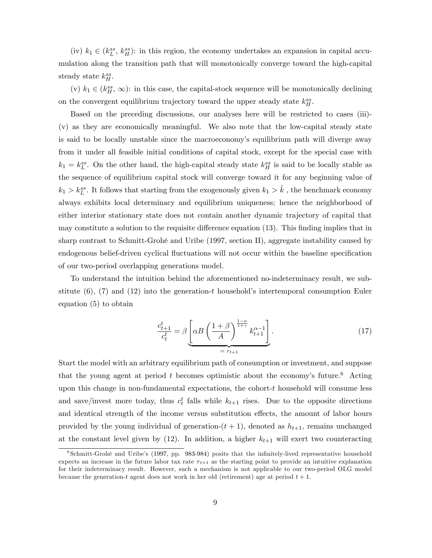(iv)  $k_1 \in (k_L^{ss}, k_H^{ss})$ : in this region, the economy undertakes an expansion in capital accumulation along the transition path that will monotonically converge toward the high-capital steady state  $k_H^{ss}$ .

(v)  $k_1 \in (k_H^{ss}, \infty)$ : in this case, the capital-stock sequence will be monotonically declining on the convergent equilibrium trajectory toward the upper steady state  $k_H^{ss}$ .

Based on the preceding discussions, our analyses here will be restricted to cases (iii)- (v) as they are economically meaningful. We also note that the low-capital steady state is said to be locally unstable since the macroeconomy's equilibrium path will diverge away from it under all feasible initial conditions of capital stock, except for the special case with  $k_1 = k_L^{ss}$ . On the other hand, the high-capital steady state  $k_H^{ss}$  is said to be locally stable as the sequence of equilibrium capital stock will converge toward it for any beginning value of  $k_1 > k_L^{ss}$ . It follows that starting from the exogenously given  $k_1 > \hat{k}$ , the benchmark economy always exhibits local determinacy and equilibrium uniqueness; hence the neighborhood of either interior stationary state does not contain another dynamic trajectory of capital that may constitute a solution to the requisite difference equation  $(13)$ . This finding implies that in sharp contrast to Schmitt-Grohé and Uribe (1997, section II), aggregate instability caused by endogenous belief-driven cyclical fluctuations will not occur within the baseline specification of our two-period overlapping generations model.

To understand the intuition behind the aforementioned no-indeterminacy result, we substitute  $(6)$ ,  $(7)$  and  $(12)$  into the generation-t household's intertemporal consumption Euler equation (5) to obtain

$$
\frac{c_{t+1}^t}{c_t^t} = \beta \underbrace{\left[\alpha B \left(\frac{1+\beta}{A}\right)^{\frac{1-\alpha}{1+\gamma}} k_{t+1}^{\alpha-1}\right]}_{= r_{t+1}}.
$$
\n(17)

Start the model with an arbitrary equilibrium path of consumption or investment, and suppose that the young agent at period  $t$  becomes optimistic about the economy's future.<sup>6</sup> Acting upon this change in non-fundamental expectations, the cohort-t household will consume less and save/invest more today, thus  $c_t^t$  falls while  $k_{t+1}$  rises. Due to the opposite directions and identical strength of the income versus substitution effects, the amount of labor hours provided by the young individual of generation- $(t + 1)$ , denoted as  $h_{t+1}$ , remains unchanged at the constant level given by  $(12)$ . In addition, a higher  $k_{t+1}$  will exert two counteracting

<sup>&</sup>lt;sup>6</sup>Schmitt-Grohé and Uribe's (1997, pp. 983-984) posits that the infinitely-lived representative household expects an increase in the future labor tax rate  $\tau_{t+1}$  as the starting point to provide an intuitive explanation for their indeterminacy result. However, such a mechanism is not applicable to our two-period OLG model because the generation-t agent does not work in her old (retirement) age at period  $t + 1$ .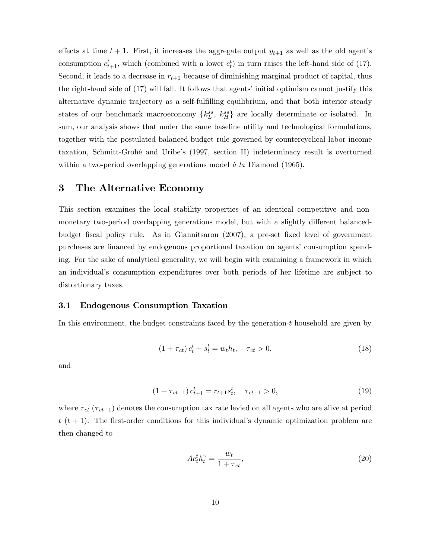effects at time  $t + 1$ . First, it increases the aggregate output  $y_{t+1}$  as well as the old agent's consumption  $c_{t+1}^t$ , which (combined with a lower  $c_t^t$ ) in turn raises the left-hand side of (17). Second, it leads to a decrease in  $r_{t+1}$  because of diminishing marginal product of capital, thus the right-hand side of (17) will fall. It follows that agents' initial optimism cannot justify this alternative dynamic trajectory as a self-fulfilling equilibrium, and that both interior steady states of our benchmark macroeconomy  $\{k_L^{ss}, k_H^{ss}\}\$ are locally determinate or isolated. In sum, our analysis shows that under the same baseline utility and technological formulations, together with the postulated balanced-budget rule governed by countercyclical labor income taxation, Schmitt-GrohÈ and Uribeís (1997, section II) indeterminacy result is overturned within a two-period overlapping generations model  $\dot{a}$  la Diamond (1965).

### 3 The Alternative Economy

This section examines the local stability properties of an identical competitive and nonmonetary two-period overlapping generations model, but with a slightly different balancedbudget fiscal policy rule. As in Giannitsarou (2007), a pre-set fixed level of government purchases are financed by endogenous proportional taxation on agents' consumption spending. For the sake of analytical generality, we will begin with examining a framework in which an individualís consumption expenditures over both periods of her lifetime are subject to distortionary taxes.

#### 3.1 Endogenous Consumption Taxation

In this environment, the budget constraints faced by the generation-t household are given by

$$
(1 + \tau_{ct}) c_t^t + s_t^t = w_t h_t, \quad \tau_{ct} > 0,
$$
\n(18)

and

$$
(1 + \tau_{ct+1}) c_{t+1}^t = r_{t+1} s_t^t, \quad \tau_{ct+1} > 0,
$$
\n(19)

where  $\tau_{ct}$  ( $\tau_{ct+1}$ ) denotes the consumption tax rate levied on all agents who are alive at period  $t(t+1)$ . The first-order conditions for this individual's dynamic optimization problem are then changed to

$$
Ac_t^t h_t^\gamma = \frac{w_t}{1 + \tau_{ct}},\tag{20}
$$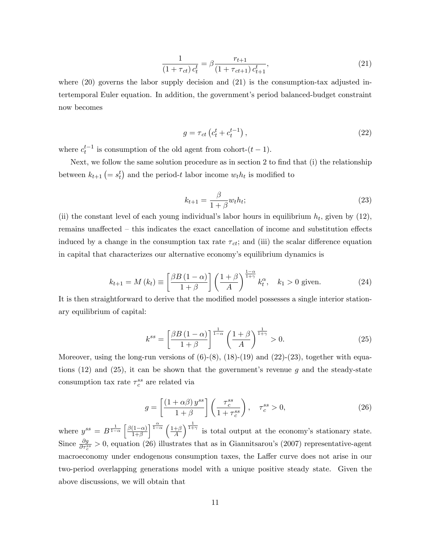$$
\frac{1}{(1+\tau_{ct})\,c_t^t} = \beta \frac{r_{t+1}}{(1+\tau_{ct+1})\,c_{t+1}^t},\tag{21}
$$

where  $(20)$  governs the labor supply decision and  $(21)$  is the consumption-tax adjusted intertemporal Euler equation. In addition, the governmentís period balanced-budget constraint now becomes

$$
g = \tau_{ct} \left( c_t^t + c_t^{t-1} \right),\tag{22}
$$

where  $c_t^{t-1}$  is consumption of the old agent from cohort- $(t-1)$ .

Next, we follow the same solution procedure as in section 2 to find that  $(i)$  the relationship between  $k_{t+1}$   $\left(= s_t^t\right)$  and the period-t labor income  $w_t h_t$  is modified to

$$
k_{t+1} = \frac{\beta}{1+\beta} w_t h_t; \tag{23}
$$

(ii) the constant level of each young individual's labor hours in equilibrium  $h_t$ , given by (12), remains unaffected  $-$  this indicates the exact cancellation of income and substitution effects induced by a change in the consumption tax rate  $\tau_{ct}$ ; and (iii) the scalar difference equation in capital that characterizes our alternative economy's equilibrium dynamics is

$$
k_{t+1} = M(k_t) \equiv \left[\frac{\beta B \left(1 - \alpha\right)}{1 + \beta}\right] \left(\frac{1 + \beta}{A}\right)^{\frac{1 - \alpha}{1 + \gamma}} k_t^{\alpha}, \quad k_1 > 0 \text{ given.} \tag{24}
$$

It is then straightforward to derive that the modified model possesses a single interior stationary equilibrium of capital:

$$
k^{ss} = \left[\frac{\beta B \left(1 - \alpha\right)}{1 + \beta}\right]^{\frac{1}{1 - \alpha}} \left(\frac{1 + \beta}{A}\right)^{\frac{1}{1 + \gamma}} > 0. \tag{25}
$$

Moreover, using the long-run versions of  $(6)-(8)$ ,  $(18)-(19)$  and  $(22)-(23)$ , together with equations  $(12)$  and  $(25)$ , it can be shown that the government's revenue g and the steady-state consumption tax rate  $\tau_c^{ss}$  are related via

$$
g = \left[\frac{\left(1 + \alpha\beta\right)y^{ss}}{1 + \beta}\right] \left(\frac{\tau_c^{ss}}{1 + \tau_c^{ss}}\right), \quad \tau_c^{ss} > 0,
$$
\n
$$
(26)
$$

where  $y^{ss} = B^{\frac{1}{1-\alpha}} \left[ \frac{\beta(1-\alpha)}{1+\beta} \right]$  $\frac{\alpha}{1-\alpha}$   $\left(1+\beta\right)$ A  $\int_{0}^{\frac{1}{1+\gamma}}$  is total output at the economy's stationary state. Since  $\frac{\partial g}{\partial \tau_c^{ss}} > 0$ , equation (26) illustrates that as in Giannitsarou's (2007) representative-agent macroeconomy under endogenous consumption taxes, the Laffer curve does not arise in our two-period overlapping generations model with a unique positive steady state. Given the above discussions, we will obtain that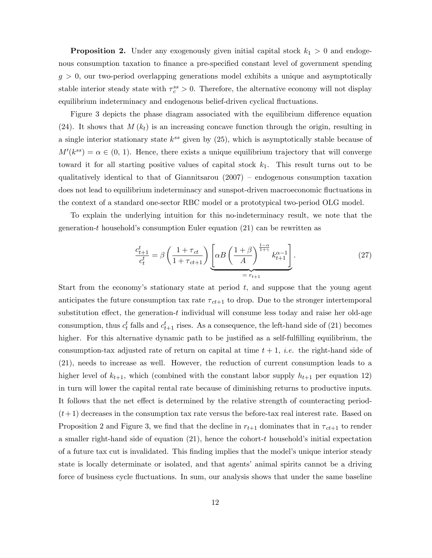**Proposition 2.** Under any exogenously given initial capital stock  $k_1 > 0$  and endogenous consumption taxation to finance a pre-specified constant level of government spending  $g > 0$ , our two-period overlapping generations model exhibits a unique and asymptotically stable interior steady state with  $\tau_c^{ss} > 0$ . Therefore, the alternative economy will not display equilibrium indeterminacy and endogenous belief-driven cyclical fluctuations.

Figure 3 depicts the phase diagram associated with the equilibrium difference equation (24). It shows that  $M(k_t)$  is an increasing concave function through the origin, resulting in a single interior stationary state  $k^{ss}$  given by  $(25)$ , which is asymptotically stable because of  $M'(k^{ss}) = \alpha \in (0, 1)$ . Hence, there exists a unique equilibrium trajectory that will converge toward it for all starting positive values of capital stock  $k_1$ . This result turns out to be qualitatively identical to that of Giannitsarou  $(2007)$  – endogenous consumption taxation does not lead to equilibrium indeterminacy and sunspot-driven macroeconomic fluctuations in the context of a standard one-sector RBC model or a prototypical two-period OLG model.

To explain the underlying intuition for this no-indeterminacy result, we note that the generation-t household's consumption Euler equation  $(21)$  can be rewritten as

$$
\frac{c_{t+1}^t}{c_t^t} = \beta \left( \frac{1 + \tau_{ct}}{1 + \tau_{ct+1}} \right) \underbrace{\left[ \alpha B \left( \frac{1 + \beta}{A} \right)^{\frac{1 - \alpha}{1 + \gamma}} k_{t+1}^{\alpha - 1} \right]}_{= r_{t+1}}.
$$
\n(27)

Start from the economy's stationary state at period  $t$ , and suppose that the young agent anticipates the future consumption tax rate  $\tau_{ct+1}$  to drop. Due to the stronger intertemporal substitution effect, the generation-t individual will consume less today and raise her old-age consumption, thus  $c_t^t$  falls and  $c_{t+1}^t$  rises. As a consequence, the left-hand side of (21) becomes higher. For this alternative dynamic path to be justified as a self-fulfilling equilibrium, the consumption-tax adjusted rate of return on capital at time  $t + 1$ , *i.e.* the right-hand side of (21), needs to increase as well. However, the reduction of current consumption leads to a higher level of  $k_{t+1}$ , which (combined with the constant labor supply  $h_{t+1}$  per equation 12) in turn will lower the capital rental rate because of diminishing returns to productive inputs. It follows that the net effect is determined by the relative strength of counteracting period- $(t+1)$  decreases in the consumption tax rate versus the before-tax real interest rate. Based on Proposition 2 and Figure 3, we find that the decline in  $r_{t+1}$  dominates that in  $\tau_{ct+1}$  to render a smaller right-hand side of equation  $(21)$ , hence the cohort-t household's initial expectation of a future tax cut is invalidated. This finding implies that the model's unique interior steady state is locally determinate or isolated, and that agents' animal spirits cannot be a driving force of business cycle fluctuations. In sum, our analysis shows that under the same baseline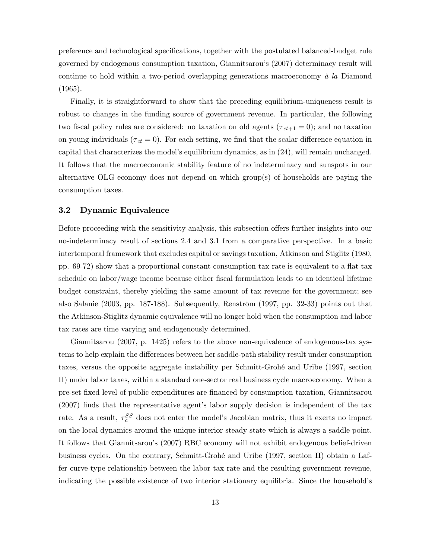preference and technological speciÖcations, together with the postulated balanced-budget rule governed by endogenous consumption taxation, Giannitsarouís (2007) determinacy result will continue to hold within a two-period overlapping generations macroeconomy  $\dot{a}$  la Diamond (1965).

Finally, it is straightforward to show that the preceding equilibrium-uniqueness result is robust to changes in the funding source of government revenue. In particular, the following two fiscal policy rules are considered: no taxation on old agents ( $\tau_{ct+1} = 0$ ); and no taxation on young individuals ( $\tau_{ct} = 0$ ). For each setting, we find that the scalar difference equation in capital that characterizes the model's equilibrium dynamics, as in  $(24)$ , will remain unchanged. It follows that the macroeconomic stability feature of no indeterminacy and sunspots in our alternative OLG economy does not depend on which group(s) of households are paying the consumption taxes.

#### 3.2 Dynamic Equivalence

Before proceeding with the sensitivity analysis, this subsection offers further insights into our no-indeterminacy result of sections 2.4 and 3.1 from a comparative perspective. In a basic intertemporal framework that excludes capital or savings taxation, Atkinson and Stiglitz (1980, pp. 69-72) show that a proportional constant consumption tax rate is equivalent to a áat tax schedule on labor/wage income because either Öscal formulation leads to an identical lifetime budget constraint, thereby yielding the same amount of tax revenue for the government; see also Salanie  $(2003, pp. 187-188)$ . Subsequently, Renström  $(1997, pp. 32-33)$  points out that the Atkinson-Stiglitz dynamic equivalence will no longer hold when the consumption and labor tax rates are time varying and endogenously determined.

Giannitsarou (2007, p. 1425) refers to the above non-equivalence of endogenous-tax systems to help explain the differences between her saddle-path stability result under consumption taxes, versus the opposite aggregate instability per Schmitt-Grohé and Uribe (1997, section II) under labor taxes, within a standard one-sector real business cycle macroeconomy. When a pre-set Öxed level of public expenditures are Önanced by consumption taxation, Giannitsarou  $(2007)$  finds that the representative agent's labor supply decision is independent of the tax rate. As a result,  $\tau_c^{SS}$  does not enter the model's Jacobian matrix, thus it exerts no impact on the local dynamics around the unique interior steady state which is always a saddle point. It follows that Giannitsarouís (2007) RBC economy will not exhibit endogenous belief-driven business cycles. On the contrary, Schmitt-Grohé and Uribe (1997, section II) obtain a Laffer curve-type relationship between the labor tax rate and the resulting government revenue, indicating the possible existence of two interior stationary equilibria. Since the household's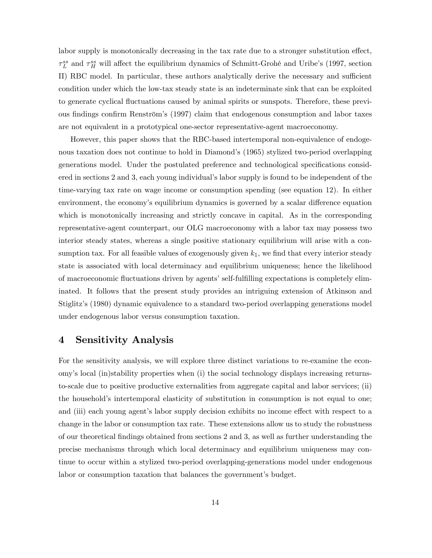labor supply is monotonically decreasing in the tax rate due to a stronger substitution effect,  $\tau_L^{ss}$  and  $\tau_H^{ss}$  will affect the equilibrium dynamics of Schmitt-Grohé and Uribe's (1997, section II) RBC model. In particular, these authors analytically derive the necessary and sufficient condition under which the low-tax steady state is an indeterminate sink that can be exploited to generate cyclical áuctuations caused by animal spirits or sunspots. Therefore, these previous findings confirm Renström's (1997) claim that endogenous consumption and labor taxes are not equivalent in a prototypical one-sector representative-agent macroeconomy.

However, this paper shows that the RBC-based intertemporal non-equivalence of endogenous taxation does not continue to hold in Diamond's (1965) stylized two-period overlapping generations model. Under the postulated preference and technological specifications considered in sections 2 and 3, each young individual's labor supply is found to be independent of the time-varying tax rate on wage income or consumption spending (see equation 12). In either environment, the economy's equilibrium dynamics is governed by a scalar difference equation which is monotonically increasing and strictly concave in capital. As in the corresponding representative-agent counterpart, our OLG macroeconomy with a labor tax may possess two interior steady states, whereas a single positive stationary equilibrium will arise with a consumption tax. For all feasible values of exogenously given  $k_1$ , we find that every interior steady state is associated with local determinacy and equilibrium uniqueness; hence the likelihood of macroeconomic fluctuations driven by agents' self-fulfilling expectations is completely eliminated. It follows that the present study provides an intriguing extension of Atkinson and Stiglitz's (1980) dynamic equivalence to a standard two-period overlapping generations model under endogenous labor versus consumption taxation.

# 4 Sensitivity Analysis

For the sensitivity analysis, we will explore three distinct variations to re-examine the economyís local (in)stability properties when (i) the social technology displays increasing returnsto-scale due to positive productive externalities from aggregate capital and labor services; (ii) the household's intertemporal elasticity of substitution in consumption is not equal to one; and (iii) each young agent's labor supply decision exhibits no income effect with respect to a change in the labor or consumption tax rate. These extensions allow us to study the robustness of our theoretical Öndings obtained from sections 2 and 3, as well as further understanding the precise mechanisms through which local determinacy and equilibrium uniqueness may continue to occur within a stylized two-period overlapping-generations model under endogenous labor or consumption taxation that balances the government's budget.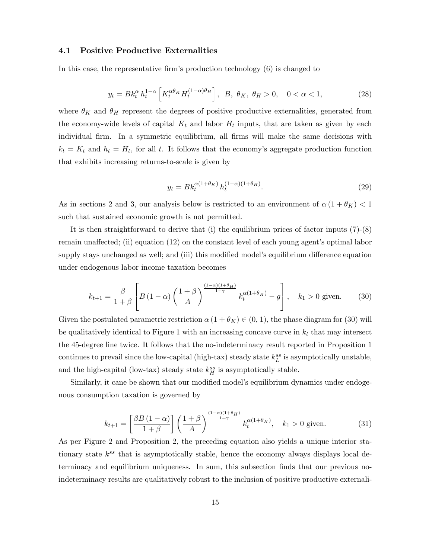### 4.1 Positive Productive Externalities

In this case, the representative firm's production technology  $(6)$  is changed to

$$
y_t = B k_t^{\alpha} h_t^{1-\alpha} \left[ K_t^{\alpha \theta_K} H_t^{(1-\alpha)\theta_H} \right], \ B, \ \theta_K, \ \theta_H > 0, \quad 0 < \alpha < 1,
$$
 (28)

where  $\theta_K$  and  $\theta_H$  represent the degrees of positive productive externalities, generated from the economy-wide levels of capital  $K_t$  and labor  $H_t$  inputs, that are taken as given by each individual firm. In a symmetric equilibrium, all firms will make the same decisions with  $k_t = K_t$  and  $h_t = H_t$ , for all t. It follows that the economy's aggregate production function that exhibits increasing returns-to-scale is given by

$$
y_t = B k_t^{\alpha (1 + \theta_K)} h_t^{(1 - \alpha)(1 + \theta_H)}.
$$
\n(29)

As in sections 2 and 3, our analysis below is restricted to an environment of  $\alpha (1 + \theta_K) < 1$ such that sustained economic growth is not permitted.

It is then straightforward to derive that (i) the equilibrium prices of factor inputs (7)-(8) remain unaffected; (ii) equation  $(12)$  on the constant level of each young agent's optimal labor supply stays unchanged as well; and (iii) this modified model's equilibrium difference equation under endogenous labor income taxation becomes

$$
k_{t+1} = \frac{\beta}{1+\beta} \left[ B\left(1-\alpha\right) \left( \frac{1+\beta}{A} \right)^{\frac{(1-\alpha)(1+\theta_H)}{1+\gamma}} k_t^{\alpha(1+\theta_K)} - g \right], \quad k_1 > 0 \text{ given.} \tag{30}
$$

Given the postulated parametric restriction  $\alpha(1 + \theta_K) \in (0, 1)$ , the phase diagram for (30) will be qualitatively identical to Figure 1 with an increasing concave curve in  $k_t$  that may intersect the 45-degree line twice. It follows that the no-indeterminacy result reported in Proposition 1 continues to prevail since the low-capital (high-tax) steady state  $k_L^{ss}$  is asymptotically unstable, and the high-capital (low-tax) steady state  $k_H^{ss}$  is asymptotically stable.

Similarly, it can ebe shown that our modified model's equilibrium dynamics under endogenous consumption taxation is governed by

$$
k_{t+1} = \left[\frac{\beta B \left(1 - \alpha\right)}{1 + \beta}\right] \left(\frac{1 + \beta}{A}\right)^{\frac{\left(1 - \alpha\right)\left(1 + \theta_H\right)}{1 + \gamma}} k_t^{\alpha\left(1 + \theta_K\right)}, \quad k_1 > 0 \text{ given.} \tag{31}
$$

As per Figure 2 and Proposition 2, the preceding equation also yields a unique interior stationary state  $k^{ss}$  that is asymptotically stable, hence the economy always displays local determinacy and equilibrium uniqueness. In sum, this subsection finds that our previous noindeterminacy results are qualitatively robust to the inclusion of positive productive externali-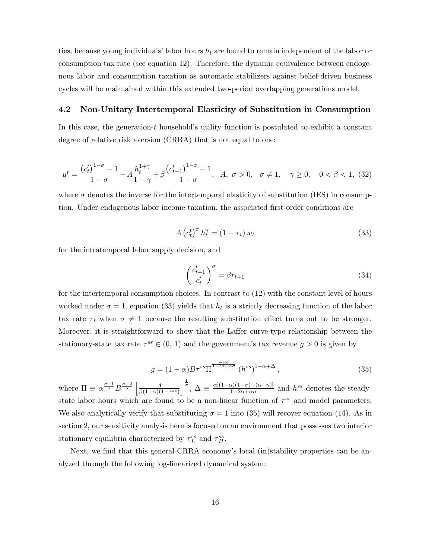ties, because young individuals' labor hours  $h_t$  are found to remain independent of the labor or consumption tax rate (see equation 12). Therefore, the dynamic equivalence between endogenous labor and consumption taxation as automatic stabilizers against belief-driven business cycles will be maintained within this extended two-period overlapping generations model.

#### 4.2 Non-Unitary Intertemporal Elasticity of Substitution in Consumption

In this case, the generation- $t$  household's utility function is postulated to exhibit a constant degree of relative risk aversion (CRRA) that is not equal to one:

$$
u^{t} = \frac{(c_{t}^{t})^{1-\sigma} - 1}{1-\sigma} - A \frac{h_{t}^{1+\gamma}}{1+\gamma} + \beta \frac{(c_{t+1}^{t})^{1-\sigma} - 1}{1-\sigma}, \quad A, \sigma > 0, \quad \sigma \neq 1, \quad \gamma \ge 0, \quad 0 < \beta < 1, \tag{32}
$$

where  $\sigma$  denotes the inverse for the intertemporal elasticity of substitution (IES) in consumption. Under endogenous labor income taxation, the associated first-order conditions are

$$
A\left(c_t^t\right)^\sigma h_t^\gamma = (1 - \tau_t) w_t \tag{33}
$$

for the intratemporal labor supply decision, and

$$
\left(\frac{c_{t+1}^t}{c_t^t}\right)^\sigma = \beta r_{t+1} \tag{34}
$$

for the intertemporal consumption choices. In contrast to (12) with the constant level of hours worked under  $\sigma = 1$ , equation (33) yields that  $h_t$  is a strictly decreasing function of the labor tax rate  $\tau_t$  when  $\sigma \neq 1$  because the resulting substitution effect turns out to be stronger. Moreover, it is straightforward to show that the Laffer curve-type relationship between the stationary-state tax rate  $\tau^{ss} \in (0, 1)$  and the government's tax revenue  $g > 0$  is given by

$$
g = (1 - \alpha) B \tau^{ss} \Pi^{\frac{-\alpha\sigma}{1 - 2\alpha + \alpha\sigma}} (h^{ss})^{1 - \alpha + \Delta}, \qquad (35)
$$

where  $\Pi \equiv \alpha^{\frac{\sigma-1}{\sigma}} B^{\frac{\sigma-2}{\sigma}} \left[ \frac{A}{\beta(1-\alpha)} \right]$  $\overline{\beta(1-\alpha)(1-\tau^{ss})}$  $\int_{0}^{\frac{1}{\sigma}}$ ,  $\Delta \equiv \frac{\alpha[(1-\alpha)(1-\sigma)-(\alpha+\gamma)]}{1-2\alpha+\alpha\sigma}$  $\frac{\alpha(1-\sigma)-(\alpha+\gamma)}{1-2\alpha+\alpha\sigma}$  and  $h^{ss}$  denotes the steadystate labor hours which are found to be a non-linear function of  $\tau^{ss}$  and model parameters. We also analytically verify that substituting  $\sigma = 1$  into (35) will recover equation (14). As in section 2, our sensitivity analysis here is focused on an environment that possesses two interior stationary equilibria characterized by  $\tau_L^{ss}$  and  $\tau_H^{ss}$ .

Next, we find that this general-CRRA economy's local (in)stability properties can be analyzed through the following log-linearized dynamical system: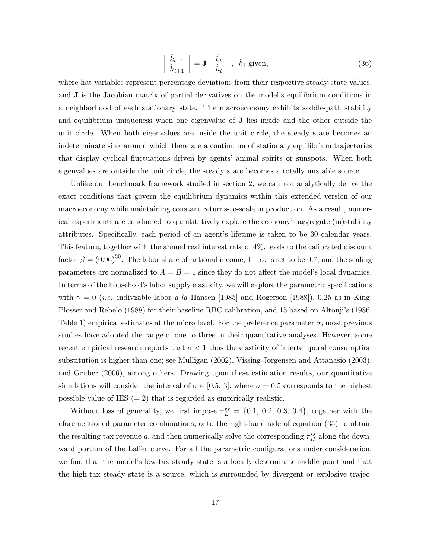$$
\begin{bmatrix}\n\hat{k}_{t+1} \\
\hat{h}_{t+1}\n\end{bmatrix} = \mathbf{J} \begin{bmatrix}\n\hat{k}_t \\
\hat{h}_t\n\end{bmatrix}, \hat{k}_1 \text{ given},
$$
\n(36)

where hat variables represent percentage deviations from their respective steady-state values, and **J** is the Jacobian matrix of partial derivatives on the model's equilibrium conditions in a neighborhood of each stationary state. The macroeconomy exhibits saddle-path stability and equilibrium uniqueness when one eigenvalue of J lies inside and the other outside the unit circle. When both eigenvalues are inside the unit circle, the steady state becomes an indeterminate sink around which there are a continuum of stationary equilibrium trajectories that display cyclical áuctuations driven by agentsí animal spirits or sunspots. When both eigenvalues are outside the unit circle, the steady state becomes a totally unstable source.

Unlike our benchmark framework studied in section 2, we can not analytically derive the exact conditions that govern the equilibrium dynamics within this extended version of our macroeconomy while maintaining constant returns-to-scale in production. As a result, numerical experiments are conducted to quantitatively explore the economy's aggregate (in)stability attributes. Specifically, each period of an agent's lifetime is taken to be 30 calendar years. This feature, together with the annual real interest rate of 4%, leads to the calibrated discount factor  $\beta = (0.96)^{30}$ . The labor share of national income,  $1 - \alpha$ , is set to be 0.7; and the scaling parameters are normalized to  $A = B = 1$  since they do not affect the model's local dynamics. In terms of the household's labor supply elasticity, we will explore the parametric specifications with  $\gamma = 0$  (*i.e.* indivisible labor à la Hansen [1985] and Rogerson [1988]), 0.25 as in King, Plosser and Rebelo (1988) for their baseline RBC calibration, and 15 based on Altonji's (1986, Table 1) empirical estimates at the micro level. For the preference parameter  $\sigma$ , most previous studies have adopted the range of one to three in their quantitative analyses. However, some recent empirical research reports that  $\sigma < 1$  thus the elasticity of intertemporal consumption substitution is higher than one; see Mulligan  $(2002)$ , Vissing-Jørgensen and Attanasio  $(2003)$ , and Gruber (2006), among others. Drawing upon these estimation results, our quantitative simulations will consider the interval of  $\sigma \in [0.5, 3]$ , where  $\sigma = 0.5$  corresponds to the highest possible value of IES  $(= 2)$  that is regarded as empirically realistic.

Without loss of generality, we first impose  $\tau_L^{ss} = \{0.1, 0.2, 0.3, 0.4\}$ , together with the aforementioned parameter combinations, onto the right-hand side of equation (35) to obtain the resulting tax revenue g, and then numerically solve the corresponding  $\tau_H^{ss}$  along the downward portion of the Laffer curve. For all the parametric configurations under consideration, we find that the model's low-tax steady state is a locally determinate saddle point and that the high-tax steady state is a source, which is surrounded by divergent or explosive trajec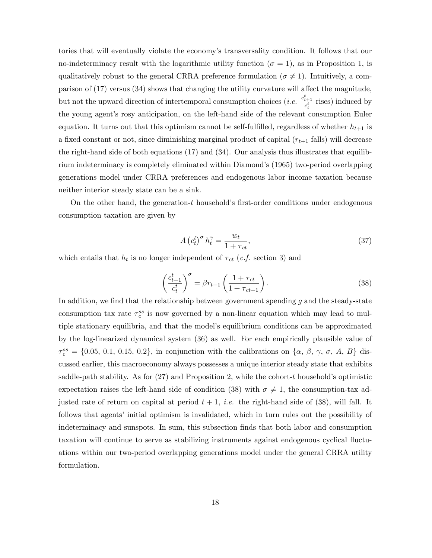tories that will eventually violate the economy's transversality condition. It follows that our no-indeterminacy result with the logarithmic utility function  $(\sigma = 1)$ , as in Proposition 1, is qualitatively robust to the general CRRA preference formulation ( $\sigma \neq 1$ ). Intuitively, a comparison of  $(17)$  versus  $(34)$  shows that changing the utility curvature will affect the magnitude, but not the upward direction of intertemporal consumption choices (*i.e.*  $\frac{c_{t+1}^t}{c_t^t}$  rises) induced by the young agent's rosy anticipation, on the left-hand side of the relevant consumption Euler equation. It turns out that this optimism cannot be self-fulfilled, regardless of whether  $h_{t+1}$  is a fixed constant or not, since diminishing marginal product of capital  $(r_{t+1}$  falls) will decrease the right-hand side of both equations (17) and (34). Our analysis thus illustrates that equilibrium indeterminacy is completely eliminated within Diamondís (1965) two-period overlapping generations model under CRRA preferences and endogenous labor income taxation because neither interior steady state can be a sink.

On the other hand, the generation- $t$  household's first-order conditions under endogenous consumption taxation are given by

$$
A\left(c_t^t\right)^\sigma h_t^\gamma = \frac{w_t}{1+\tau_{ct}},\tag{37}
$$

which entails that  $h_t$  is no longer independent of  $\tau_{ct}$  (*c.f.* section 3) and

$$
\left(\frac{c_{t+1}^t}{c_t^t}\right)^\sigma = \beta r_{t+1} \left(\frac{1+\tau_{ct}}{1+\tau_{ct+1}}\right). \tag{38}
$$

In addition, we find that the relationship between government spending  $g$  and the steady-state consumption tax rate  $\tau_c^{ss}$  is now governed by a non-linear equation which may lead to multiple stationary equilibria, and that the modelís equilibrium conditions can be approximated by the log-linearized dynamical system (36) as well. For each empirically plausible value of  $\tau_c^{ss} = \{0.05, 0.1, 0.15, 0.2\}$ , in conjunction with the calibrations on  $\{\alpha, \beta, \gamma, \sigma, A, B\}$  discussed earlier, this macroeconomy always possesses a unique interior steady state that exhibits saddle-path stability. As for  $(27)$  and Proposition 2, while the cohort-t household's optimistic expectation raises the left-hand side of condition (38) with  $\sigma \neq 1$ , the consumption-tax adjusted rate of return on capital at period  $t + 1$ , *i.e.* the right-hand side of (38), will fall. It follows that agents' initial optimism is invalidated, which in turn rules out the possibility of indeterminacy and sunspots. In sum, this subsection finds that both labor and consumption taxation will continue to serve as stabilizing instruments against endogenous cyclical áuctuations within our two-period overlapping generations model under the general CRRA utility formulation.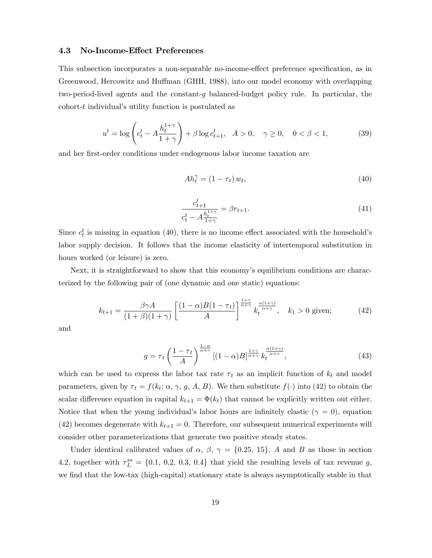### 4.3 No-Income-Effect Preferences

This subsection incorporates a non-separable no-income-effect preference specification, as in Greenwood, Hercowitz and Huffman (GHH, 1988), into our model economy with overlapping two-period-lived agents and the constant-g balanced-budget policy rule. In particular, the  $\text{cohort-}t$  individual's utility function is postulated as

$$
u^{t} = \log\left(c_{t}^{t} - A \frac{h_{t}^{1+\gamma}}{1+\gamma}\right) + \beta \log c_{t+1}^{t}, \quad A > 0, \quad \gamma \ge 0, \quad 0 < \beta < 1,\tag{39}
$$

and her first-order conditions under endogenous labor income taxation are

$$
Ah_t^{\gamma} = (1 - \tau_t) w_t,\tag{40}
$$

$$
\frac{c_{t+1}^t}{c_t^t - A_{\frac{1+\gamma}{1+\gamma}}^{h_t^{1+\gamma}}} = \beta r_{t+1}.
$$
\n(41)

Since  $c_t^t$  is missing in equation (40), there is no income effect associated with the household's labor supply decision. It follows that the income elasticity of intertemporal substitution in hours worked (or leisure) is zero.

Next, it is straightforward to show that this economy's equilibrium conditions are characterized by the following pair of (one dynamic and one static) equations:

$$
k_{t+1} = \frac{\beta \gamma A}{(1+\beta)(1+\gamma)} \left[ \frac{(1-\alpha)B(1-\tau_t)}{A} \right]^{\frac{1+\gamma}{\alpha+\gamma}} k_t^{\frac{\alpha(1+\gamma)}{\alpha+\gamma}}, \quad k_1 > 0 \text{ given}; \tag{42}
$$

and

$$
g = \tau_t \left(\frac{1 - \tau_t}{A}\right)^{\frac{1 - \alpha}{\alpha + \gamma}} [(1 - \alpha)B]^{\frac{1 + \gamma}{\alpha + \gamma}} k_t^{\frac{\alpha(1 + \gamma)}{\alpha + \gamma}},\tag{43}
$$

which can be used to express the labor tax rate  $\tau_t$  as an implicit function of  $k_t$  and model parameters, given by  $\tau_t = f(k_t; \alpha, \gamma, g, A, B)$ . We then substitute  $f(\cdot)$  into (42) to obtain the scalar difference equation in capital  $k_{t+1} = \Phi(k_t)$  that cannot be explicitly written out either. Notice that when the young individual's labor hours are infinitely elastic  $(\gamma = 0)$ , equation (42) becomes degenerate with  $k_{t+1} = 0$ . Therefore, our subsequent numerical experiments will consider other parameterizations that generate two positive steady states.

Under identical calibrated values of  $\alpha$ ,  $\beta$ ,  $\gamma = \{0.25, 15\}$ , A and B as those in section 4.2, together with  $\tau_L^{ss} = \{0.1, 0.2, 0.3, 0.4\}$  that yield the resulting levels of tax revenue g, we find that the low-tax (high-capital) stationary state is always asymptotically stable in that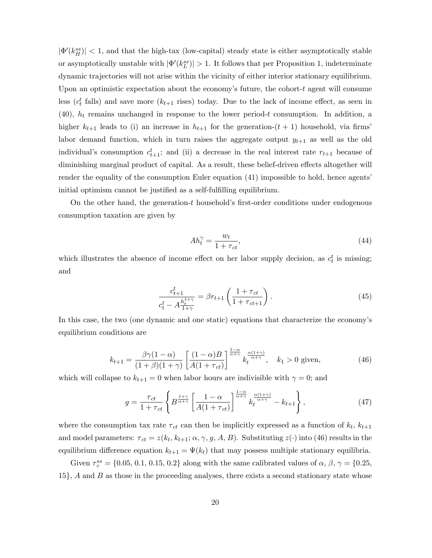$|\Phi'(k_H^{ss})|$  < 1, and that the high-tax (low-capital) steady state is either asymptotically stable or asymptotically unstable with  $|\Phi'(k_L^{ss})| > 1$ . It follows that per Proposition 1, indeterminate dynamic trajectories will not arise within the vicinity of either interior stationary equilibrium. Upon an optimistic expectation about the economy's future, the cohort- $t$  agent will consume less ( $c_t^t$  falls) and save more ( $k_{t+1}$  rises) today. Due to the lack of income effect, as seen in  $(40)$ ,  $h_t$  remains unchanged in response to the lower period-t consumption. In addition, a higher  $k_{t+1}$  leads to (i) an increase in  $h_{t+1}$  for the generation- $(t+1)$  household, via firms' labor demand function, which in turn raises the aggregate output  $y_{t+1}$  as well as the old individual's consumption  $c_{t+1}^t$ ; and (ii) a decrease in the real interest rate  $r_{t+1}$  because of diminishing marginal product of capital. As a result, these belief-driven effects altogether will render the equality of the consumption Euler equation (41) impossible to hold, hence agents initial optimism cannot be justified as a self-fulfilling equilibrium.

On the other hand, the generation- $t$  household's first-order conditions under endogenous consumption taxation are given by

$$
Ah_t^{\gamma} = \frac{w_t}{1 + \tau_{ct}},\tag{44}
$$

which illustrates the absence of income effect on her labor supply decision, as  $c_t^t$  is missing; and

$$
\frac{c_{t+1}^t}{c_t^t - A_{\frac{1+\gamma}{1+\gamma}}^{\frac{1+\gamma}{1+\gamma}}} = \beta r_{t+1} \left( \frac{1+\tau_{ct}}{1+\tau_{ct+1}} \right). \tag{45}
$$

In this case, the two (one dynamic and one static) equations that characterize the economyís equilibrium conditions are

$$
k_{t+1} = \frac{\beta \gamma (1 - \alpha)}{(1 + \beta)(1 + \gamma)} \left[ \frac{(1 - \alpha)B}{A(1 + \tau_{ct})} \right]^{\frac{1 - \alpha}{\alpha + \gamma}} k_t^{\frac{\alpha (1 + \gamma)}{\alpha + \gamma}}, \quad k_1 > 0 \text{ given}, \tag{46}
$$

which will collapse to  $k_{t+1} = 0$  when labor hours are indivisible with  $\gamma = 0$ ; and

$$
g = \frac{\tau_{ct}}{1 + \tau_{ct}} \left\{ B^{\frac{1+\gamma}{\alpha+\gamma}} \left[ \frac{1-\alpha}{A(1+\tau_{ct})} \right]^{\frac{1-\alpha}{\alpha+\gamma}} k_t^{\frac{\alpha(1+\gamma)}{\alpha+\gamma}} - k_{t+1} \right\},\tag{47}
$$

where the consumption tax rate  $\tau_{ct}$  can then be implicitly expressed as a function of  $k_t$ ,  $k_{t+1}$ and model parameters:  $\tau_{ct} = z(k_t, k_{t+1}; \alpha, \gamma, g, A, B)$ . Substituting  $z(\cdot)$  into (46) results in the equilibrium difference equation  $k_{t+1} = \Psi(k_t)$  that may possess multiple stationary equilibria.

Given  $\tau_c^{ss} = \{0.05, 0.1, 0.15, 0.2\}$  along with the same calibrated values of  $\alpha$ ,  $\beta$ ,  $\gamma = \{0.25,$  $15$ , A and B as those in the proceeding analyses, there exists a second stationary state whose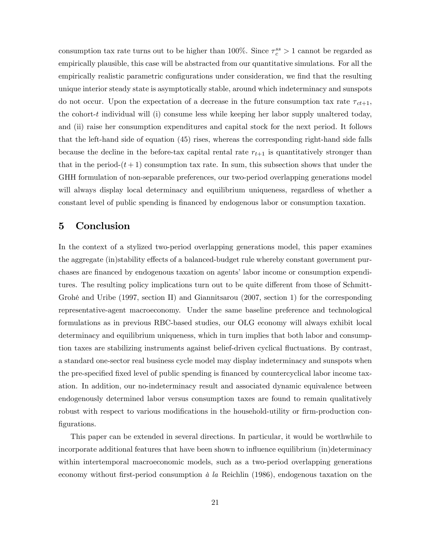consumption tax rate turns out to be higher than 100%. Since  $\tau_c^{ss} > 1$  cannot be regarded as empirically plausible, this case will be abstracted from our quantitative simulations. For all the empirically realistic parametric configurations under consideration, we find that the resulting unique interior steady state is asymptotically stable, around which indeterminacy and sunspots do not occur. Upon the expectation of a decrease in the future consumption tax rate  $\tau_{ct+1}$ , the cohort-t individual will (i) consume less while keeping her labor supply unaltered today, and (ii) raise her consumption expenditures and capital stock for the next period. It follows that the left-hand side of equation (45) rises, whereas the corresponding right-hand side falls because the decline in the before-tax capital rental rate  $r_{t+1}$  is quantitatively stronger than that in the period- $(t+1)$  consumption tax rate. In sum, this subsection shows that under the GHH formulation of non-separable preferences, our two-period overlapping generations model will always display local determinacy and equilibrium uniqueness, regardless of whether a constant level of public spending is Önanced by endogenous labor or consumption taxation.

## 5 Conclusion

In the context of a stylized two-period overlapping generations model, this paper examines the aggregate (in)stability effects of a balanced-budget rule whereby constant government purchases are financed by endogenous taxation on agents' labor income or consumption expenditures. The resulting policy implications turn out to be quite different from those of Schmitt-Grohé and Uribe (1997, section II) and Giannitsarou (2007, section 1) for the corresponding representative-agent macroeconomy. Under the same baseline preference and technological formulations as in previous RBC-based studies, our OLG economy will always exhibit local determinacy and equilibrium uniqueness, which in turn implies that both labor and consumption taxes are stabilizing instruments against belief-driven cyclical fluctuations. By contrast, a standard one-sector real business cycle model may display indeterminacy and sunspots when the pre-specified fixed level of public spending is financed by countercyclical labor income taxation. In addition, our no-indeterminacy result and associated dynamic equivalence between endogenously determined labor versus consumption taxes are found to remain qualitatively robust with respect to various modifications in the household-utility or firm-production configurations.

This paper can be extended in several directions. In particular, it would be worthwhile to incorporate additional features that have been shown to influence equilibrium (in)determinacy within intertemporal macroeconomic models, such as a two-period overlapping generations economy without first-period consumption  $\dot{a}$  la Reichlin (1986), endogenous taxation on the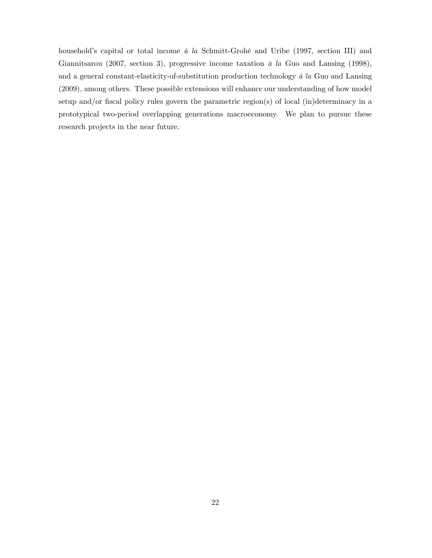household's capital or total income  $\dot{a}$  la Schmitt-Grohé and Uribe (1997, section III) and Giannitsarou (2007, section 3), progressive income taxation  $\dot{a}$  la Guo and Lansing (1998), and a general constant-elasticity-of-substitution production technology  $\dot{a}$  la Guo and Lansing (2009), among others. These possible extensions will enhance our understanding of how model setup and/or fiscal policy rules govern the parametric region(s) of local (in)determinacy in a prototypical two-period overlapping generations macroeconomy. We plan to pursue these research projects in the near future.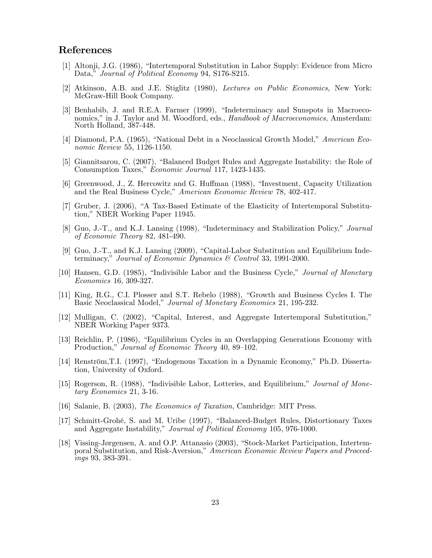## References

- [1] Altonji, J.G. (1986), "Intertemporal Substitution in Labor Supply: Evidence from Micro Data," Journal of Political Economy 94, S176-S215.
- [2] Atkinson, A.B. and J.E. Stiglitz (1980), Lectures on Public Economics, New York: McGraw-Hill Book Company.
- [3] Benhabib, J. and R.E.A. Farmer (1999), "Indeterminacy and Sunspots in Macroeconomics," in J. Taylor and M. Woodford, eds., Handbook of Macroeconomics, Amsterdam: North Holland, 387-448.
- [4] Diamond, P.A. (1965), "National Debt in a Neoclassical Growth Model," American Economic Review 55, 1126-1150.
- [5] Giannitsarou, C. (2007), "Balanced Budget Rules and Aggregate Instability: the Role of Consumption Taxes," Economic Journal 117, 1423-1435.
- [6] Greenwood, J., Z. Hercowitz and G. Huffman (1988), "Investment, Capacity Utilization and the Real Business Cycle," American Economic Review 78, 402-417.
- [7] Gruber, J. (2006), "A Tax-Based Estimate of the Elasticity of Intertemporal Substitution," NBER Working Paper 11945.
- [8] Guo, J.-T., and K.J. Lansing (1998), "Indeterminacy and Stabilization Policy," *Journal* of Economic Theory 82, 481-490.
- [9] Guo, J.-T., and K.J. Lansing  $(2009)$ , "Capital-Labor Substitution and Equilibrium Indeterminacy," Journal of Economic Dynamics  $\mathcal C$  Control 33, 1991-2000.
- [10] Hansen, G.D. (1985), "Indivisible Labor and the Business Cycle," *Journal of Monetary* Economics 16, 309-327.
- [11] King, R.G., C.I. Plosser and S.T. Rebelo (1988), "Growth and Business Cycles I. The Basic Neoclassical Model," Journal of Monetary Economics 21, 195-232.
- [12] Mulligan, C. (2002), "Capital, Interest, and Aggregate Intertemporal Substitution," NBER Working Paper 9373.
- [13] Reichlin, P. (1986), "Equilibrium Cycles in an Overlapping Generations Economy with Production," Journal of Economic Theory 40, 89–102.
- [14] Renström, T.I. (1997), "Endogenous Taxation in a Dynamic Economy," Ph.D. Dissertation, University of Oxford.
- [15] Rogerson, R. (1988), "Indivisible Labor, Lotteries, and Equilibrium," *Journal of Mone*tary Economics 21, 3-16.
- [16] Salanie, B. (2003), The Economics of Taxation, Cambridge: MIT Press.
- [17] Schmitt-Grohé, S. and M. Uribe (1997), "Balanced-Budget Rules, Distortionary Taxes and Aggregate Instability," Journal of Political Economy 105, 976-1000.
- [18] Vissing-Jørgensen, A. and O.P. Attanasio (2003), "Stock-Market Participation, Intertemporal Substitution, and Risk-Aversion," American Economic Review Papers and Proceedings 93, 383-391.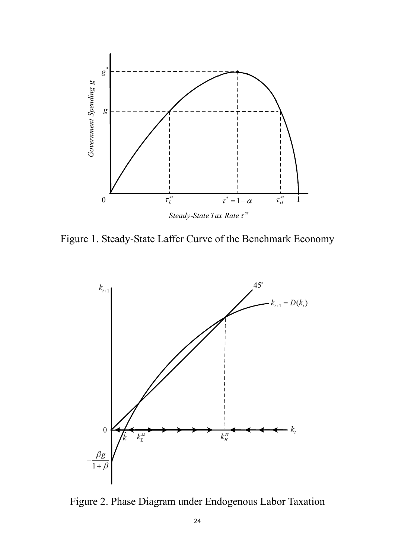

Figure 1. Steady-State Laffer Curve of the Benchmark Economy



Figure 2. Phase Diagram under Endogenous Labor Taxation